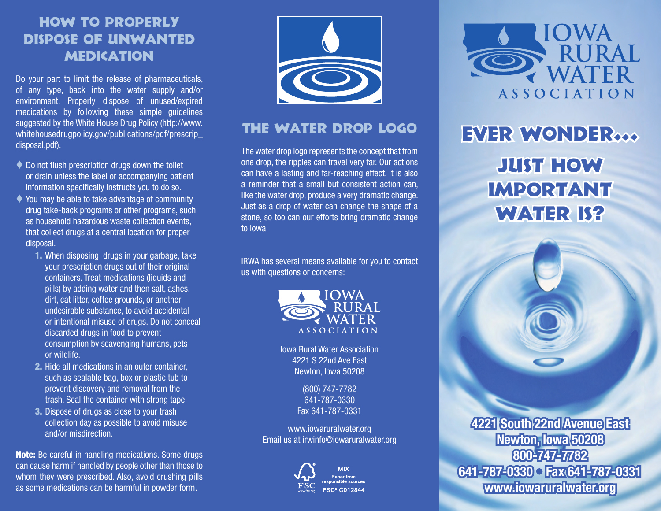## How to Properly Dispose of Unwanted **MEDICATION**

Do your part to limit the release of pharmaceuticals, of any type, back into the water supply and/or environment. Properly dispose of unused/expired medications by following these simple guidelines suggested by the White House Drug Policy (http://www. whitehousedrugpolicy.gov/publications/pdf/prescrip\_ disposal.pdf).

- $\blacklozenge$  Do not flush prescription drugs down the toilet or drain unless the label or accompanying patient information specifically instructs you to do so.
- $\blacklozenge$  You may be able to take advantage of community drug take-back programs or other programs, such as household hazardous waste collection events, that collect drugs at a central location for proper disposal.
	- 1. When disposing drugs in your garbage, take your prescription drugs out of their original containers. Treat medications (liquids and pills) by adding water and then salt, ashes, dirt, cat litter, coffee grounds, or another undesirable substance, to avoid accidental or intentional misuse of drugs. Do not conceal discarded drugs in food to prevent consumption by scavenging humans, pets or wildlife.
	- 2. Hide all medications in an outer container, such as sealable bag, box or plastic tub to prevent discovery and removal from the trash. Seal the container with strong tape.
	- 3. Dispose of drugs as close to your trash collection day as possible to avoid misuse and/or misdirection.

Note: Be careful in handling medications. Some drugs can cause harm if handled by people other than those to whom they were prescribed. Also, avoid crushing pills as some medications can be harmful in powder form.



#### The Water Drop Logo

The water drop logo represents the concept that from one drop, the ripples can travel very far. Our actions can have a lasting and far-reaching effect. It is also a reminder that a small but consistent action can, like the water drop, produce a very dramatic change. Just as a drop of water can change the shape of a stone, so too can our efforts bring dramatic change to Iowa.

IRWA has several means available for you to contact us with questions or concerns:



Iowa Rural Water Association 4221 S 22nd Ave East Newton, Iowa 50208

> (800) 747-7782 641-787-0330 Fax 641-787-0331

www.iowaruralwater.org Email us at irwinfo@iowaruralwater.org



OWA **ASSOCIATION** 

# EVER WONDER... Just How **IMPORTANT** WATER IS?

**4221 South 22nd Avenue East Newton, Iowa 50208 800-747-7782 641-787-0330 • Fax 641-787-0331 www.iowaruralwater.org**